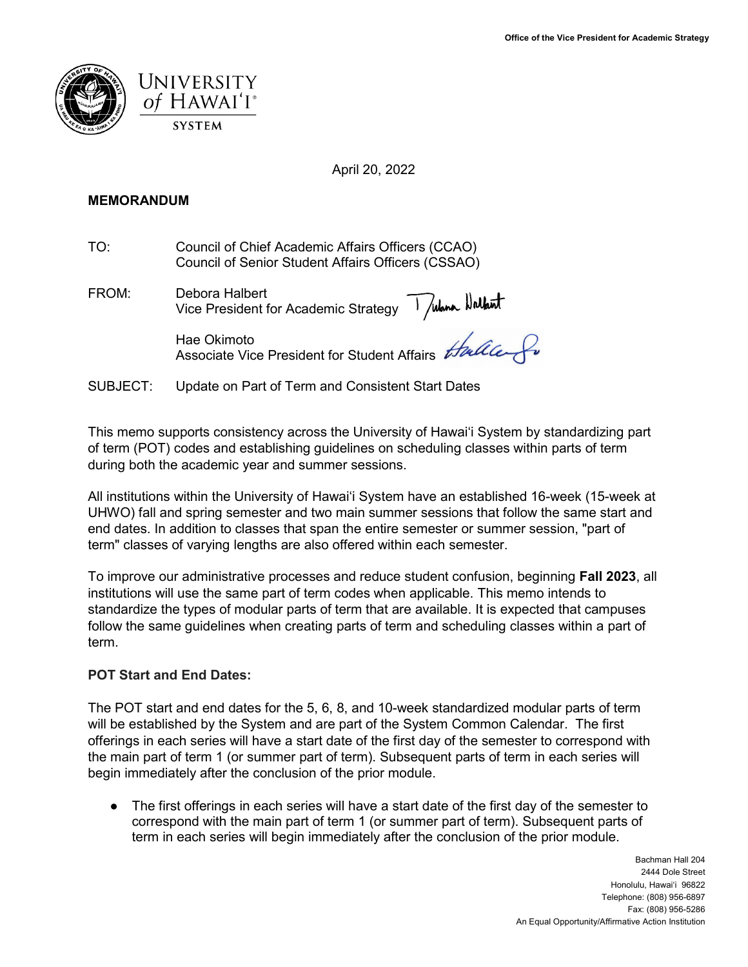



April 20, 2022

## **MEMORANDUM**

TO: Council of Chief Academic Affairs Officers (CCAO) Council of Senior Student Affairs Officers (CSSAO)

FROM: Debora Halbert Vice President for Academic Strategy

> Hae Okimoto Associate Vice President for Student Affairs

SUBJECT: Update on Part of Term and Consistent Start Dates

This memo supports consistency across the University of Hawaiʻi System by standardizing part of term (POT) codes and establishing guidelines on scheduling classes within parts of term during both the academic year and summer sessions.

All institutions within the University of Hawai'i System have an established 16-week (15-week at UHWO) fall and spring semester and two main summer sessions that follow the same start and end dates. In addition to classes that span the entire semester or summer session, "part of term" classes of varying lengths are also offered within each semester.

To improve our administrative processes and reduce student confusion, beginning **Fall 2023**, all institutions will use the same part of term codes when applicable. This memo intends to standardize the types of modular parts of term that are available. It is expected that campuses follow the same guidelines when creating parts of term and scheduling classes within a part of term.

# **POT Start and End Dates:**

The POT start and end dates for the 5, 6, 8, and 10-week standardized modular parts of term will be established by the System and are part of the System Common Calendar. The first offerings in each series will have a start date of the first day of the semester to correspond with the main part of term 1 (or summer part of term). Subsequent parts of term in each series will begin immediately after the conclusion of the prior module.

• The first offerings in each series will have a start date of the first day of the semester to correspond with the main part of term 1 (or summer part of term). Subsequent parts of term in each series will begin immediately after the conclusion of the prior module.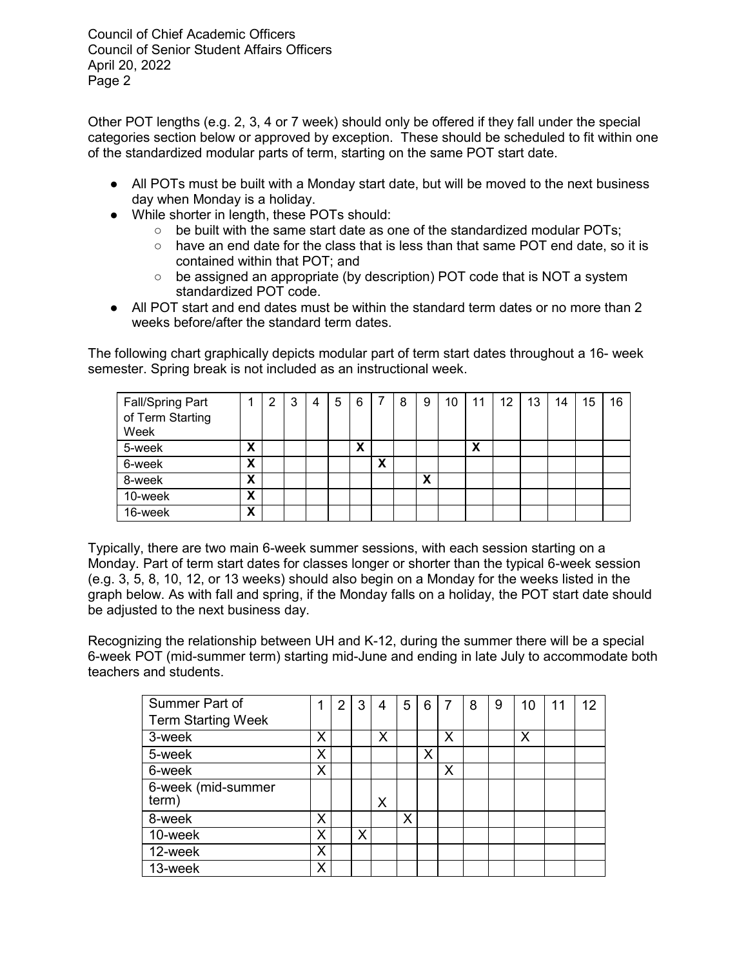Council of Chief Academic Officers Council of Senior Student Affairs Officers April 20, 2022 Page 2

Other POT lengths (e.g. 2, 3, 4 or 7 week) should only be offered if they fall under the special categories section below or approved by exception. These should be scheduled to fit within one of the standardized modular parts of term, starting on the same POT start date.

- All POTs must be built with a Monday start date, but will be moved to the next business day when Monday is a holiday.
- While shorter in length, these POTs should:
	- $\circ$  be built with the same start date as one of the standardized modular POTs:
	- $\circ$  have an end date for the class that is less than that same POT end date, so it is contained within that POT; and
	- $\circ$  be assigned an appropriate (by description) POT code that is NOT a system standardized POT code.
- All POT start and end dates must be within the standard term dates or no more than 2 weeks before/after the standard term dates.

The following chart graphically depicts modular part of term start dates throughout a 16- week semester. Spring break is not included as an instructional week.

| <b>Fall/Spring Part</b><br>of Term Starting |   | ົ | 3 | 4 | 5 | 6 | 7 | 8 | 9      | 10 <sup>°</sup> | 11 | $12 \overline{ }$ | 13 | 14 | 15 | 16 |
|---------------------------------------------|---|---|---|---|---|---|---|---|--------|-----------------|----|-------------------|----|----|----|----|
| Week                                        |   |   |   |   |   |   |   |   |        |                 |    |                   |    |    |    |    |
| 5-week                                      | X |   |   |   |   | X |   |   |        |                 | X  |                   |    |    |    |    |
| 6-week                                      | х |   |   |   |   |   | χ |   |        |                 |    |                   |    |    |    |    |
| 8-week                                      | X |   |   |   |   |   |   |   | v<br>ᄉ |                 |    |                   |    |    |    |    |
| 10-week                                     | X |   |   |   |   |   |   |   |        |                 |    |                   |    |    |    |    |
| 16-week                                     | x |   |   |   |   |   |   |   |        |                 |    |                   |    |    |    |    |

Typically, there are two main 6-week summer sessions, with each session starting on a Monday. Part of term start dates for classes longer or shorter than the typical 6-week session (e.g. 3, 5, 8, 10, 12, or 13 weeks) should also begin on a Monday for the weeks listed in the graph below. As with fall and spring, if the Monday falls on a holiday, the POT start date should be adjusted to the next business day.

Recognizing the relationship between UH and K-12, during the summer there will be a special 6-week POT (mid-summer term) starting mid-June and ending in late July to accommodate both teachers and students.

| Summer Part of              |   | $\overline{2}$ | 3 | 4 | 5 | 6 | 7 | 8 | 9 | 10 | 11 | 12 |
|-----------------------------|---|----------------|---|---|---|---|---|---|---|----|----|----|
| <b>Term Starting Week</b>   |   |                |   |   |   |   |   |   |   |    |    |    |
| 3-week                      | Χ |                |   | х |   |   | Х |   |   | Х  |    |    |
| 5-week                      | Χ |                |   |   |   | Χ |   |   |   |    |    |    |
| 6-week                      | Χ |                |   |   |   |   | X |   |   |    |    |    |
| 6-week (mid-summer<br>term) |   |                |   | Χ |   |   |   |   |   |    |    |    |
| 8-week                      | Χ |                |   |   | Χ |   |   |   |   |    |    |    |
| 10-week                     | Χ |                | x |   |   |   |   |   |   |    |    |    |
| 12-week                     | Χ |                |   |   |   |   |   |   |   |    |    |    |
| 13-week                     | Χ |                |   |   |   |   |   |   |   |    |    |    |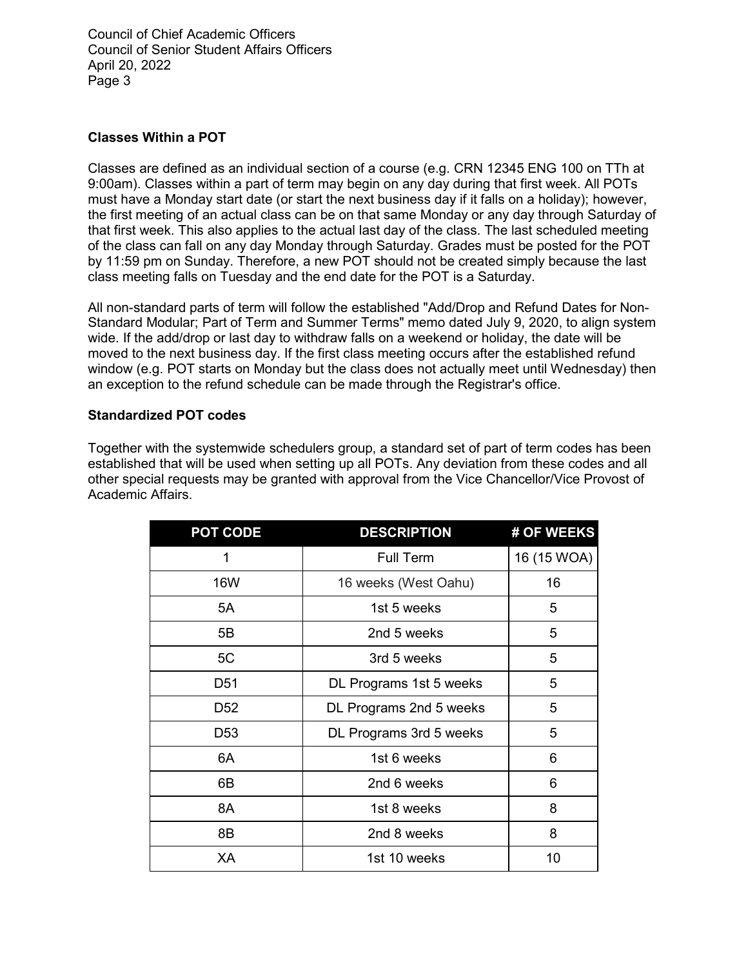Council of Chief Academic Officers Council of Senior Student Affairs Officers April 20, 2022 Page 3

# **Classes Within a POT**

Classes are defined as an individual section of a course (e.g. CRN 12345 ENG 100 on TTh at 9:00am). Classes within a part of term may begin on any day during that first week. All POTs must have a Monday start date (or start the next business day if it falls on a holiday); however, the first meeting of an actual class can be on that same Monday or any day through Saturday of that first week. This also applies to the actual last day of the class. The last scheduled meeting of the class can fall on any day Monday through Saturday. Grades must be posted for the POT by 11:59 pm on Sunday. Therefore, a new POT should not be created simply because the last class meeting falls on Tuesday and the end date for the POT is a Saturday.

All non-standard parts of term will follow the established "Add/Drop and Refund Dates for Non-Standard Modular; Part of Term and Summer Terms" memo dated July 9, 2020, to align system wide. If the add/drop or last day to withdraw falls on a weekend or holiday, the date will be moved to the next business day. If the first class meeting occurs after the established refund window (e.g. POT starts on Monday but the class does not actually meet until Wednesday) then an exception to the refund schedule can be made through the Registrar's office.

# **Standardized POT codes**

Together with the systemwide schedulers group, a standard set of part of term codes has been established that will be used when setting up all POTs. Any deviation from these codes and all other special requests may be granted with approval from the Vice Chancellor/Vice Provost of Academic Affairs.

| <b>POT CODE</b> | <b>DESCRIPTION</b>      | # OF WEEKS  |
|-----------------|-------------------------|-------------|
| 1               | <b>Full Term</b>        | 16 (15 WOA) |
| <b>16W</b>      | 16 weeks (West Oahu)    | 16          |
| 5A              | 1st 5 weeks             | 5           |
| 5B              | 2nd 5 weeks             | 5           |
| 5C              | 3rd 5 weeks             | 5           |
| D <sub>51</sub> | DL Programs 1st 5 weeks | 5           |
| D <sub>52</sub> | DL Programs 2nd 5 weeks | 5           |
| D <sub>53</sub> | DL Programs 3rd 5 weeks | 5           |
| 6A              | 1st 6 weeks             | 6           |
| 6B              | 2nd 6 weeks             | 6           |
| 8A              | 1st 8 weeks             | 8           |
| 8B              | 2nd 8 weeks             | 8           |
| XA              | 1st 10 weeks            | 10          |